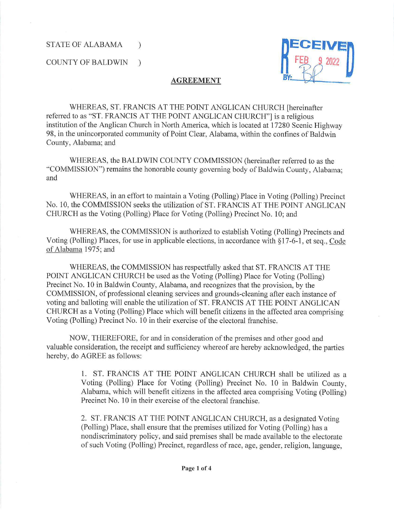COUNTY OF BALDWIN )



## **AGREEMENT**

WHEREAS, ST. FRANCIS AT THE POINT ANGLICAN CHURCH [hereinafter referred to as "ST. FRANCIS AT THE POINT ANGLICAN CHURCH"] is a religious institution of the Anglican Church in North America, which is located at 17280 Scenic Highway 98, in the unincorporated community of Point Clear, Alabama, within the confines of Baldwin County, Alabama; and

WHEREAS, the BALDWIN COUNTY COMMISSION (hereinafter referred to as the ·'COMMISSION") remains the honorable county governing body of Baldwin County, Alabama; and

WHEREAS, in an effort to maintain a Voting (Polling) Place in Voting (Polling) Precinct No. 10, the COMMISSION seeks the utilization of ST. FRANCIS AT THE POINT ANGLICAN CHURCH as the Voting (Polling) Place for Voting (Polling) Precinct No. 10; and

WHEREAS, the COMMISSION is authorized to establish Voting (Polling) Precincts and Voting (Polling) Places, for use in applicable elections, in accordance with § 17-6-1 , et seq., Code of Alabama 1975; and

WHEREAS, the COMMISSION has respectfully asked that ST. FRANCIS AT THE POINT ANGLICAN CHURCH be used as the Voting (Polling) Place for Voting (Polling) Precinct No. 10 in Baldwin County, Alabama, and recognizes that the provision, by the COMMISSION, of professional cleaning services and grounds-cleaning after each instance of voting and balloting will enable the utilization of ST. FRANCIS AT THE POINT ANGLICAN CHURCH as a Voting (Polling) Place which will benefit citizens in the affected area comprising Voting (Polling) Precinct No. 10 in their exercise of the electoral franchise.

NOW, THEREFORE, for and in consideration of the premises and other good and valuable consideration, the receipt and sufficiency whereof are hereby acknowledged, the parties hereby, do AGREE as follows:

> 1. ST. FRANCIS AT THE POINT ANGLICAN CHURCH shall be utilized as a Voting (Polling) Place for Voting (Polling) Precinct No. 10 in Baldwin County, Alabama, which will benefit citizens in the affected area comprising Voting (Polling) Precinct No. 10 in their exercise of the electoral franchise.

2. ST. FRANCIS AT THE POINT ANGLICAN CHURCH, as a designated Voting (Polling) Place, shall ensure that the premises utilized for Voting (Polling) has a nondiscriminatory policy, and said premises shall be made available to the electorate of such Voting (Polling) Precinct, regardless of race, age, gender, religion, language,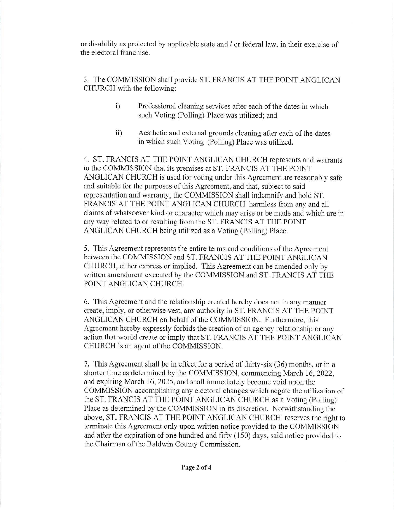or disability as protected by applicable state and / or federal law, in their exercise of the electoral franchise.

3. The COMMISSION shall provide ST. FRANCIS AT THE POINT ANGLICAN CHURCH with the following:

- i) Professional cleaning services after each of the dates in which such Voting (Polling) Place was utilized; and
- ii) Aesthetic and external grounds cleaning after each of the dates in which such Voting (Polling) Place was utilized.

4. ST. FRANCIS AT THE POINT ANGLICAN CHURCH represents and warrants to the COMMISSION that its premises at ST. FRANCIS AT THE POINT ANGLICAN CHURCH is used for voting under this Agreement are reasonably safe and suitable for the purposes of this Agreement, and that, subject to said representation and warranty, the COMMISSION shall indemnify and hold ST. FRANCIS AT THE POINT ANGLICAN CHURCH harmless from any and all claims of whatsoever kind or character which may arise or be made and which are in any way related to or resulting from the ST. FRANCIS AT THE POINT ANGLICAN CHURCH being utilized as a Voting (Polling) Place.

5. This Agreement represents the entire terms and conditions of the Agreement between the COMMISSION and ST. FRANCIS AT THE POINT ANGLICAN CHURCH, either express or implied. This Agreement can be amended only by written amendment executed by the COMMISSION and ST. FRANCIS AT THE POINT ANGLICAN CHURCH.

6. This Agreement and the relationship created hereby does not in any manner create, imply, or otherwise vest, any authority in ST. FRANCIS AT THE POINT ANGLICAN CHURCH on behalf of the COMMISSION. Furthermore, this Agreement hereby expressly forbids the creation of an agency relationship or any action that would create or imply that ST. FRANCIS AT THE POINT ANGLICAN CHURCH is an agent of the COMMISSION.

7. This Agreement shall be in effect for a period of thirty-six (36) months, or in a shorter time as determined by the COMMISSION, commencing March 16, 2022, and expiring March 16, 2025, and shall immediately become void upon the COMMISSION accomplishing any electoral changes which negate the utilization of the ST. FRANCIS AT THE POINT ANGLICAN CHURCH as a Voting (Polling) Place as determined by the COMMISSION in its discretion. Notwithstanding the above, ST. FRANCIS AT THE POINT ANGLICAN CHURCH reserves the right to tenninate this Agreement only upon written notice provided to the COMMISSION and after the expiration of one hundred and fifty (150) days, said notice provided to the Chairman of the Baldwin County Commission.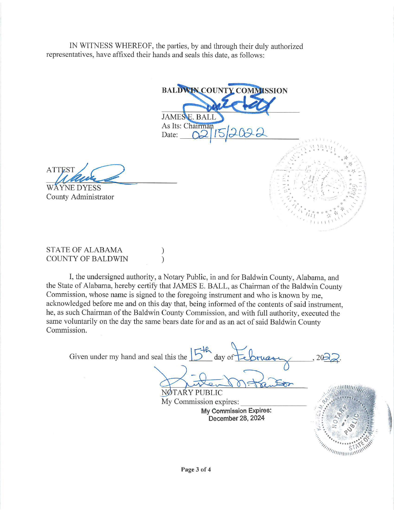IN WITNESS WHEREOF, the parties, by and through their duly authorized representatives, have affixed their hands and seals this date, as follows:



**ATTEST A~** 

WAYNE DYESS County Administrator

STATE OF ALABAMA COUNTY OF BALDWIN

I, the undersigned authority, a Notary Public, in and for Baldwin County, Alabama, and the State of Alabama, hereby certify that JAMES E. BALL, as Chairman of the Baldwin County Commission, whose name is signed to the foregoing instrument and who is known by me, acknowledged before me and on this day that, being informed of the contents of said instrument, he, as such Chairman of the Baldwin County Commission, and with full authority, executed the same voluntarily on the day the same bears date for and as an act of said Baldwin County Commission.

) )

 $5^{\frac{12}{6}}$  day of tebruson .  $2022$ . Given under my hand and seal this the  $\frac{1}{2}$  day of  $\bigcirc$ NØTAŔY PUBLIC<br>My Commission expires: **My Commission Expires: December 28, 2024**